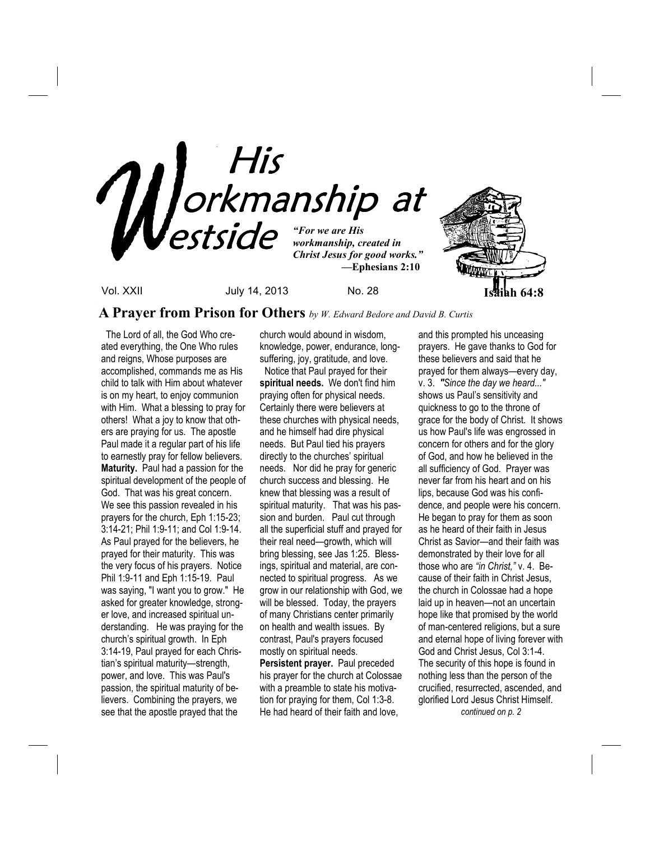

## **A Prayer from Prison for Others** *by W. Edward Bedore and David B. Curtis*

The Lord of all, the God Who created everything, the One Who rules and reigns, Whose purposes are accomplished, commands me as His child to talk with Him about whatever is on my heart, to enjoy communion with Him. What a blessing to pray for others! What a joy to know that others are praying for us. The apostle Paul made it a regular part of his life to earnestly pray for fellow believers. **Maturity.** Paul had a passion for the spiritual development of the people of God. That was his great concern. We see this passion revealed in his prayers for the church, Eph 1:15-23; 3:14-21; Phil 1:9-11; and Col 1:9-14. As Paul prayed for the believers, he prayed for their maturity. This was the very focus of his prayers. Notice Phil 1:9-11 and Eph 1:15-19. Paul was saying, "I want you to grow." He asked for greater knowledge, stronger love, and increased spiritual understanding. He was praying for the church's spiritual growth. In Eph 3:14-19, Paul prayed for each Christian's spiritual maturity—strength, power, and love. This was Paul's passion, the spiritual maturity of believers. Combining the prayers, we see that the apostle prayed that the

church would abound in wisdom, knowledge, power, endurance, longsuffering, joy, gratitude, and love.

 Notice that Paul prayed for their **spiritual needs.** We don't find him praying often for physical needs. Certainly there were believers at these churches with physical needs, and he himself had dire physical needs. But Paul tied his prayers directly to the churches' spiritual needs. Nor did he pray for generic church success and blessing. He knew that blessing was a result of spiritual maturity. That was his passion and burden. Paul cut through all the superficial stuff and prayed for their real need—growth, which will bring blessing, see Jas 1:25. Blessings, spiritual and material, are connected to spiritual progress. As we grow in our relationship with God, we will be blessed. Today, the prayers of many Christians center primarily on health and wealth issues. By contrast, Paul's prayers focused mostly on spiritual needs. **Persistent prayer.** Paul preceded

his prayer for the church at Colossae with a preamble to state his motivation for praying for them, Col 1:3-8. He had heard of their faith and love,

and this prompted his unceasing prayers. He gave thanks to God for these believers and said that he prayed for them always—every day, v. 3. *"Since the day we heard..."*  shows us Paul's sensitivity and quickness to go to the throne of grace for the body of Christ. It shows us how Paul's life was engrossed in concern for others and for the glory of God, and how he believed in the all sufficiency of God. Prayer was never far from his heart and on his lips, because God was his confidence, and people were his concern. He began to pray for them as soon as he heard of their faith in Jesus Christ as Savior—and their faith was demonstrated by their love for all those who are *"in Christ,"* v. 4. Because of their faith in Christ Jesus, the church in Colossae had a hope laid up in heaven—not an uncertain hope like that promised by the world of man-centered religions, but a sure and eternal hope of living forever with God and Christ Jesus, Col 3:1-4. The security of this hope is found in nothing less than the person of the crucified, resurrected, ascended, and glorified Lord Jesus Christ Himself. *continued on p. 2*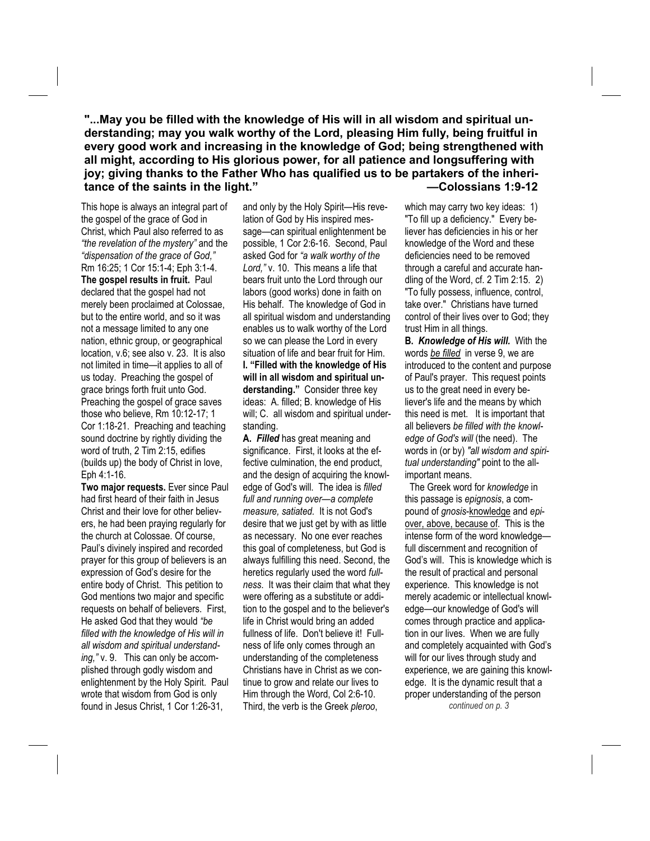**"...May you be filled with the knowledge of His will in all wisdom and spiritual understanding; may you walk worthy of the Lord, pleasing Him fully, being fruitful in every good work and increasing in the knowledge of God; being strengthened with all might, according to His glorious power, for all patience and longsuffering with joy; giving thanks to the Father Who has qualified us to be partakers of the inheritance of the saints in the light." —Colossians 1:9-12** 

This hope is always an integral part of the gospel of the grace of God in Christ, which Paul also referred to as *"the revelation of the mystery"* and the *"dispensation of the grace of God,"*  Rm 16:25; 1 Cor 15:1-4; Eph 3:1-4. **The gospel results in fruit.** Paul declared that the gospel had not merely been proclaimed at Colossae, but to the entire world, and so it was not a message limited to any one nation, ethnic group, or geographical location, v.6; see also v. 23. It is also not limited in time—it applies to all of us today. Preaching the gospel of grace brings forth fruit unto God. Preaching the gospel of grace saves those who believe, Rm 10:12-17; 1 Cor 1:18-21. Preaching and teaching sound doctrine by rightly dividing the word of truth, 2 Tim 2:15, edifies (builds up) the body of Christ in love, Eph 4:1-16.

**Two major requests.** Ever since Paul had first heard of their faith in Jesus Christ and their love for other believers, he had been praying regularly for the church at Colossae. Of course, Paul's divinely inspired and recorded prayer for this group of believers is an expression of God's desire for the entire body of Christ. This petition to God mentions two major and specific requests on behalf of believers. First, He asked God that they would *"be filled with the knowledge of His will in all wisdom and spiritual understanding,"* v. 9. This can only be accomplished through godly wisdom and enlightenment by the Holy Spirit. Paul wrote that wisdom from God is only found in Jesus Christ, 1 Cor 1:26-31,

and only by the Holy Spirit—His revelation of God by His inspired message—can spiritual enlightenment be possible, 1 Cor 2:6-16. Second, Paul asked God for *"a walk worthy of the Lord,"* v. 10. This means a life that bears fruit unto the Lord through our labors (good works) done in faith on His behalf. The knowledge of God in all spiritual wisdom and understanding enables us to walk worthy of the Lord so we can please the Lord in every situation of life and bear fruit for Him. **I. "Filled with the knowledge of His will in all wisdom and spiritual understanding."** Consider three key ideas: A. filled; B. knowledge of His will; C. all wisdom and spiritual understanding.

**A.** *Filled* has great meaning and significance. First, it looks at the effective culmination, the end product, and the design of acquiring the knowledge of God's will. The idea is *filled full and running over—a complete measure, satiated.* It is not God's desire that we just get by with as little as necessary. No one ever reaches this goal of completeness, but God is always fulfilling this need. Second, the heretics regularly used the word *fullness*. It was their claim that what they were offering as a substitute or addition to the gospel and to the believer's life in Christ would bring an added fullness of life. Don't believe it! Fullness of life only comes through an understanding of the completeness Christians have in Christ as we continue to grow and relate our lives to Him through the Word, Col 2:6-10. Third, the verb is the Greek *pleroo*,

which may carry two key ideas: 1) "To fill up a deficiency." Every believer has deficiencies in his or her knowledge of the Word and these deficiencies need to be removed through a careful and accurate handling of the Word, cf. 2 Tim 2:15. 2) "To fully possess, influence, control, take over." Christians have turned control of their lives over to God; they trust Him in all things.

**B.** *Knowledge of His will.* With the words *be filled* in verse 9, we are introduced to the content and purpose of Paul's prayer. This request points us to the great need in every believer's life and the means by which this need is met. It is important that all believers *be filled with the knowledge of God's will* (the need). The words in (or by) *"all wisdom and spiritual understanding"* point to the allimportant means.

 The Greek word for *knowledge* in this passage is *epignosis*, a compound of *gnosis*-knowledge and *epi*over, above, because of. This is the intense form of the word knowledge full discernment and recognition of God's will. This is knowledge which is the result of practical and personal experience. This knowledge is not merely academic or intellectual knowledge—our knowledge of God's will comes through practice and application in our lives. When we are fully and completely acquainted with God's will for our lives through study and experience, we are gaining this knowledge. It is the dynamic result that a proper understanding of the person *continued on p. 3*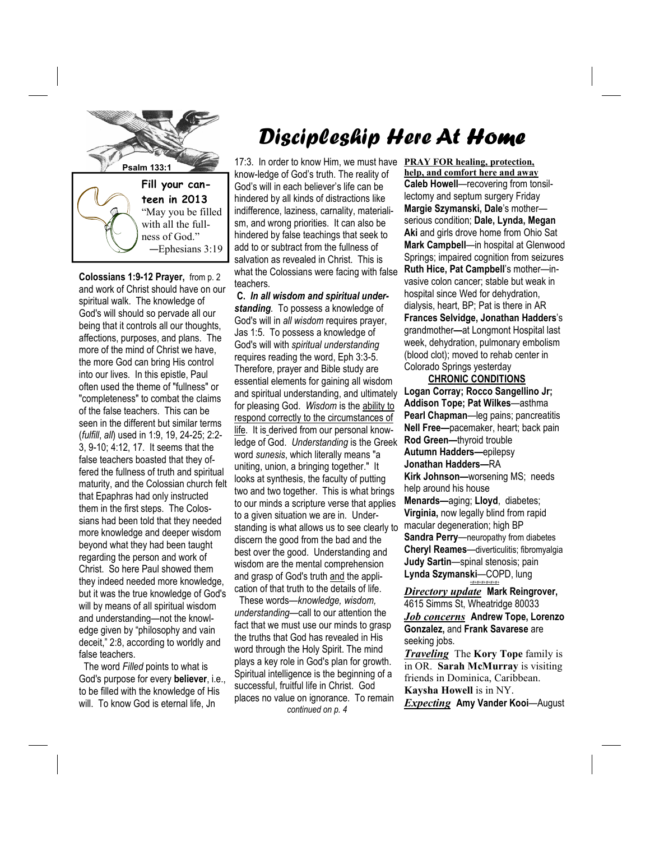

**Colossians 1:9-12 Prayer,** from p. 2 and work of Christ should have on our spiritual walk. The knowledge of God's will should so pervade all our being that it controls all our thoughts, affections, purposes, and plans. The more of the mind of Christ we have, the more God can bring His control into our lives. In this epistle, Paul often used the theme of "fullness" or "completeness" to combat the claims of the false teachers. This can be seen in the different but similar terms (*fulfill*, *all*) used in 1:9, 19, 24-25; 2:2- 3, 9-10; 4:12, 17. It seems that the false teachers boasted that they offered the fullness of truth and spiritual maturity, and the Colossian church felt that Epaphras had only instructed them in the first steps. The Colossians had been told that they needed more knowledge and deeper wisdom beyond what they had been taught regarding the person and work of Christ. So here Paul showed them they indeed needed more knowledge, but it was the true knowledge of God's will by means of all spiritual wisdom and understanding—not the knowledge given by "philosophy and vain deceit," 2:8, according to worldly and false teachers.

The word *Filled* points to what is God's purpose for every **believer**, i.e., to be filled with the knowledge of His will. To know God is eternal life, Jn

## Discipleship Here At Home

**PSalm 133:1** 17:3. In order to know Him, we must have **PRAY FOR healing, protection,** know-ledge of God's truth. The reality of God's will in each believer's life can be hindered by all kinds of distractions like indifference, laziness, carnality, materialism, and wrong priorities. It can also be hindered by false teachings that seek to add to or subtract from the fullness of salvation as revealed in Christ. This is what the Colossians were facing with false teachers.

> **C.** *In all wisdom and spiritual understanding.* To possess a knowledge of God's will in *all wisdom* requires prayer, Jas 1:5. To possess a knowledge of God's will with *spiritual understanding* requires reading the word, Eph 3:3-5. Therefore, prayer and Bible study are essential elements for gaining all wisdom and spiritual understanding, and ultimately for pleasing God. *Wisdom* is the ability to respond correctly to the circumstances of life. It is derived from our personal knowledge of God. *Understanding* is the Greek word *sunesis*, which literally means "a uniting, union, a bringing together." It looks at synthesis, the faculty of putting two and two together. This is what brings to our minds a scripture verse that applies to a given situation we are in. Understanding is what allows us to see clearly to discern the good from the bad and the best over the good. Understanding and wisdom are the mental comprehension and grasp of God's truth and the application of that truth to the details of life.

 These words—*knowledge, wisdom, understanding*—call to our attention the fact that we must use our minds to grasp the truths that God has revealed in His word through the Holy Spirit. The mind plays a key role in God's plan for growth. Spiritual intelligence is the beginning of a successful, fruitful life in Christ. God places no value on ignorance. To remain *continued on p. 4*

**help, and comfort here and away Caleb Howell**—recovering from tonsillectomy and septum surgery Friday **Margie Szymanski, Dale**'s mother serious condition; **Dale, Lynda, Megan Aki** and girls drove home from Ohio Sat **Mark Campbell**—in hospital at Glenwood Springs; impaired cognition from seizures **Ruth Hice, Pat Campbell**'s mother—invasive colon cancer; stable but weak in hospital since Wed for dehydration, dialysis, heart, BP; Pat is there in AR **Frances Selvidge, Jonathan Hadders**'s grandmother**—**at Longmont Hospital last week, dehydration, pulmonary embolism (blood clot); moved to rehab center in Colorado Springs yesterday

 **CHRONIC CONDITIONS Logan Corray; Rocco Sangellino Jr; Addison Tope; Pat Wilkes**—asthma **Pearl Chapman**—leg pains; pancreatitis **Nell Free—**pacemaker, heart; back pain **Rod Green—**thyroid trouble **Autumn Hadders—**epilepsy **Jonathan Hadders—**RA **Kirk Johnson—**worsening MS; needs help around his house **Menards—**aging; **Lloyd**, diabetes; **Virginia,** now legally blind from rapid macular degeneration; high BP **Sandra Perry**—neuropathy from diabetes **Cheryl Reames**—diverticulitis; fibromyalgia **Judy Sartin**—spinal stenosis; pain **Lynda Szymanski**—COPD, lung *+#+#+#+#+#+#+*

*Directory update* **Mark Reingrover,**  4615 Simms St, Wheatridge 80033 *Job concerns* **Andrew Tope, Lorenzo Gonzalez,** and **Frank Savarese** are seeking jobs.

*Traveling* The **Kory Tope** family is in OR. **Sarah McMurray** is visiting friends in Dominica, Caribbean. **Kaysha Howell** is in NY. *Expecting* **Amy Vander Kooi**—August